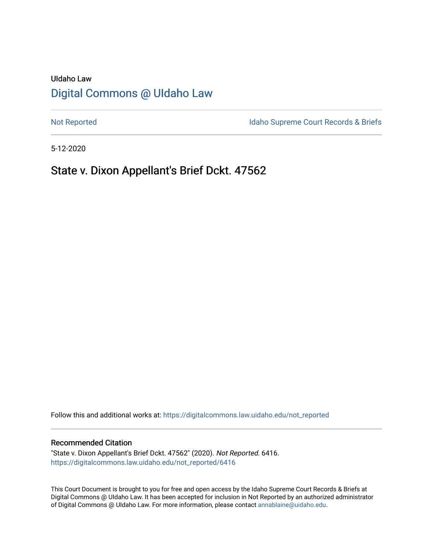# UIdaho Law [Digital Commons @ UIdaho Law](https://digitalcommons.law.uidaho.edu/)

[Not Reported](https://digitalcommons.law.uidaho.edu/not_reported) **Idaho Supreme Court Records & Briefs** 

5-12-2020

# State v. Dixon Appellant's Brief Dckt. 47562

Follow this and additional works at: [https://digitalcommons.law.uidaho.edu/not\\_reported](https://digitalcommons.law.uidaho.edu/not_reported?utm_source=digitalcommons.law.uidaho.edu%2Fnot_reported%2F6416&utm_medium=PDF&utm_campaign=PDFCoverPages) 

#### Recommended Citation

"State v. Dixon Appellant's Brief Dckt. 47562" (2020). Not Reported. 6416. [https://digitalcommons.law.uidaho.edu/not\\_reported/6416](https://digitalcommons.law.uidaho.edu/not_reported/6416?utm_source=digitalcommons.law.uidaho.edu%2Fnot_reported%2F6416&utm_medium=PDF&utm_campaign=PDFCoverPages)

This Court Document is brought to you for free and open access by the Idaho Supreme Court Records & Briefs at Digital Commons @ UIdaho Law. It has been accepted for inclusion in Not Reported by an authorized administrator of Digital Commons @ UIdaho Law. For more information, please contact [annablaine@uidaho.edu](mailto:annablaine@uidaho.edu).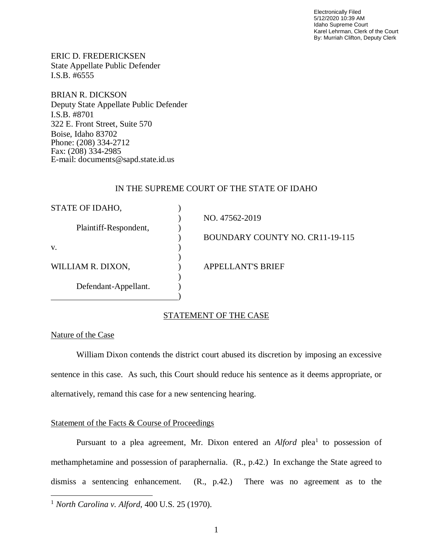Electronically Filed 5/12/2020 10:39 AM Idaho Supreme Court Karel Lehrman, Clerk of the Court By: Murriah Clifton, Deputy Clerk

ERIC D. FREDERICKSEN State Appellate Public Defender I.S.B. #6555

BRIAN R. DICKSON Deputy State Appellate Public Defender I.S.B. #8701 322 E. Front Street, Suite 570 Boise, Idaho 83702 Phone: (208) 334-2712 Fax: (208) 334-2985 E-mail: documents@sapd.state.id.us

## IN THE SUPREME COURT OF THE STATE OF IDAHO

| STATE OF IDAHO,       |                                        |
|-----------------------|----------------------------------------|
|                       | NO. 47562-2019                         |
| Plaintiff-Respondent, |                                        |
|                       | <b>BOUNDARY COUNTY NO. CR11-19-115</b> |
| V.                    |                                        |
|                       |                                        |
| WILLIAM R. DIXON,     | <b>APPELLANT'S BRIEF</b>               |
|                       |                                        |
| Defendant-Appellant.  |                                        |
|                       |                                        |

## STATEMENT OF THE CASE

# Nature of the Case

William Dixon contends the district court abused its discretion by imposing an excessive sentence in this case. As such, this Court should reduce his sentence as it deems appropriate, or alternatively, remand this case for a new sentencing hearing.

# Statement of the Facts & Course of Proceedings

Pursuant to a plea agreement, Mr. Dixon entered an *Alford* plea<sup>[1](#page-1-0)</sup> to possession of methamphetamine and possession of paraphernalia. (R., p.42.) In exchange the State agreed to dismiss a sentencing enhancement. (R., p.42.) There was no agreement as to the

<span id="page-1-0"></span><sup>1</sup> *North Carolina v. Alford*, 400 U.S. 25 (1970).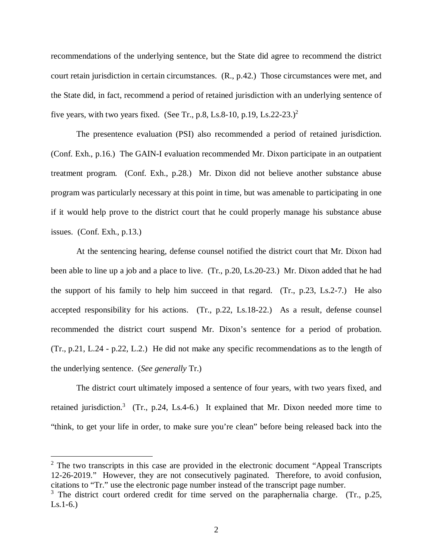recommendations of the underlying sentence, but the State did agree to recommend the district court retain jurisdiction in certain circumstances. (R., p.42.) Those circumstances were met, and the State did, in fact, recommend a period of retained jurisdiction with an underlying sentence of five years, with two years fixed. (See Tr., p.8, Ls.8-10, p.19, Ls.[2](#page-2-0)2-23.)<sup>2</sup>

The presentence evaluation (PSI) also recommended a period of retained jurisdiction. (Conf. Exh., p.16.) The GAIN-I evaluation recommended Mr. Dixon participate in an outpatient treatment program. (Conf. Exh., p.28.) Mr. Dixon did not believe another substance abuse program was particularly necessary at this point in time, but was amenable to participating in one if it would help prove to the district court that he could properly manage his substance abuse issues. (Conf. Exh., p.13.)

At the sentencing hearing, defense counsel notified the district court that Mr. Dixon had been able to line up a job and a place to live. (Tr., p.20, Ls.20-23.) Mr. Dixon added that he had the support of his family to help him succeed in that regard. (Tr., p.23, Ls.2-7.) He also accepted responsibility for his actions. (Tr., p.22, Ls.18-22.) As a result, defense counsel recommended the district court suspend Mr. Dixon's sentence for a period of probation. (Tr., p.21, L.24 - p.22, L.2.) He did not make any specific recommendations as to the length of the underlying sentence. (*See generally* Tr.)

The district court ultimately imposed a sentence of four years, with two years fixed, and retained jurisdiction.<sup>[3](#page-2-1)</sup> (Tr., p.24, Ls.4-6.) It explained that Mr. Dixon needed more time to "think, to get your life in order, to make sure you're clean" before being released back into the

<span id="page-2-0"></span><sup>2</sup> The two transcripts in this case are provided in the electronic document "Appeal Transcripts 12-26-2019." However, they are not consecutively paginated. Therefore, to avoid confusion, citations to "Tr." use the electronic page number instead of the transcript page number.

<span id="page-2-1"></span> $3$  The district court ordered credit for time served on the paraphernalia charge. (Tr., p.25, Ls.1-6.)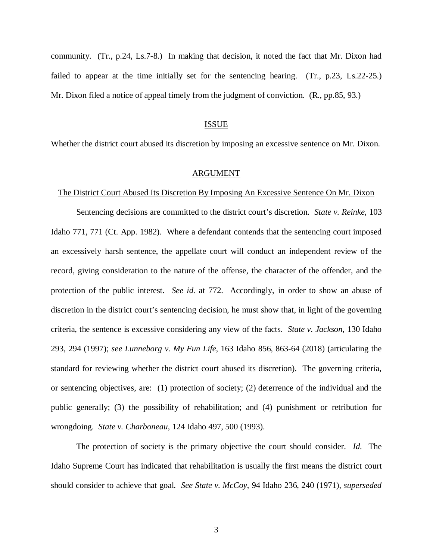community. (Tr., p.24, Ls.7-8.) In making that decision, it noted the fact that Mr. Dixon had failed to appear at the time initially set for the sentencing hearing. (Tr., p.23, Ls.22-25.) Mr. Dixon filed a notice of appeal timely from the judgment of conviction. (R., pp.85, 93.)

## ISSUE

Whether the district court abused its discretion by imposing an excessive sentence on Mr. Dixon.

#### ARGUMENT

# The District Court Abused Its Discretion By Imposing An Excessive Sentence On Mr. Dixon

Sentencing decisions are committed to the district court's discretion. *State v. Reinke*, 103 Idaho 771, 771 (Ct. App. 1982). Where a defendant contends that the sentencing court imposed an excessively harsh sentence, the appellate court will conduct an independent review of the record, giving consideration to the nature of the offense, the character of the offender, and the protection of the public interest. *See id*. at 772. Accordingly, in order to show an abuse of discretion in the district court's sentencing decision, he must show that, in light of the governing criteria, the sentence is excessive considering any view of the facts. *State v. Jackson*, 130 Idaho 293, 294 (1997); *see Lunneborg v. My Fun Life*, 163 Idaho 856, 863-64 (2018) (articulating the standard for reviewing whether the district court abused its discretion). The governing criteria, or sentencing objectives, are: (1) protection of society; (2) deterrence of the individual and the public generally; (3) the possibility of rehabilitation; and (4) punishment or retribution for wrongdoing. *State v. Charboneau*, 124 Idaho 497, 500 (1993).

The protection of society is the primary objective the court should consider. *Id*. The Idaho Supreme Court has indicated that rehabilitation is usually the first means the district court should consider to achieve that goal. *See State v. McCoy*, 94 Idaho 236, 240 (1971), *superseded*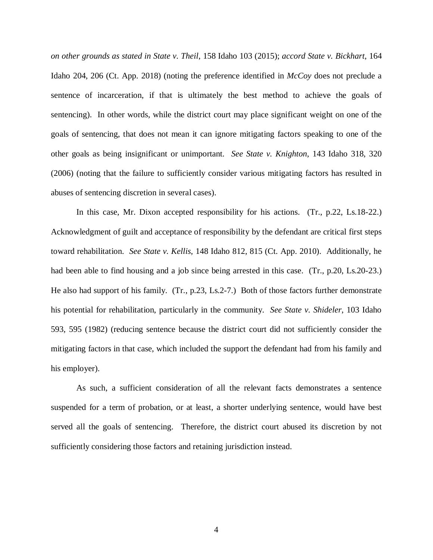*on other grounds as stated in State v. Theil*, 158 Idaho 103 (2015); *accord State v. Bickhart*, 164 Idaho 204, 206 (Ct. App. 2018) (noting the preference identified in *McCoy* does not preclude a sentence of incarceration, if that is ultimately the best method to achieve the goals of sentencing). In other words, while the district court may place significant weight on one of the goals of sentencing, that does not mean it can ignore mitigating factors speaking to one of the other goals as being insignificant or unimportant. *See State v. Knighton*, 143 Idaho 318, 320 (2006) (noting that the failure to sufficiently consider various mitigating factors has resulted in abuses of sentencing discretion in several cases).

In this case, Mr. Dixon accepted responsibility for his actions. (Tr., p.22, Ls.18-22.) Acknowledgment of guilt and acceptance of responsibility by the defendant are critical first steps toward rehabilitation. *See State v. Kellis*, 148 Idaho 812, 815 (Ct. App. 2010). Additionally, he had been able to find housing and a job since being arrested in this case. (Tr., p.20, Ls.20-23.) He also had support of his family. (Tr., p.23, Ls.2-7.) Both of those factors further demonstrate his potential for rehabilitation, particularly in the community. *See State v. Shideler*, 103 Idaho 593, 595 (1982) (reducing sentence because the district court did not sufficiently consider the mitigating factors in that case, which included the support the defendant had from his family and his employer).

As such, a sufficient consideration of all the relevant facts demonstrates a sentence suspended for a term of probation, or at least, a shorter underlying sentence, would have best served all the goals of sentencing. Therefore, the district court abused its discretion by not sufficiently considering those factors and retaining jurisdiction instead.